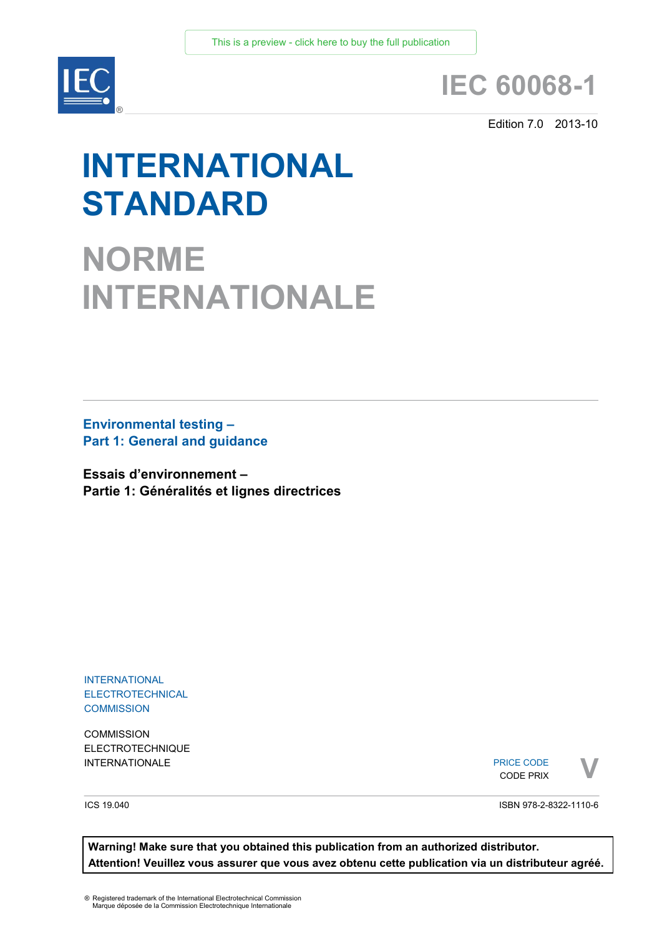

# **IEC 60068-1**

Edition 7.0 2013-10

# **INTERNATIONAL STANDARD**

**NORME INTERNATIONALE**

**Environmental testing – Part 1: General and guidance** 

**Essais d'environnement – Partie 1: Généralités et lignes directrices**

INTERNATIONAL **ELECTROTECHNICAL COMMISSION** 

**COMMISSION** ELECTROTECHNIQUE

INTERNATIONALE PRICE CODE PRIX PRICE CODE CODE PRIX



ICS 19.040

ISBN 978-2-8322-1110-6

**Warning! Make sure that you obtained this publication from an authorized distributor. Attention! Veuillez vous assurer que vous avez obtenu cette publication via un distributeur agréé.**

® Registered trademark of the International Electrotechnical Commission Marque déposée de la Commission Electrotechnique Internationale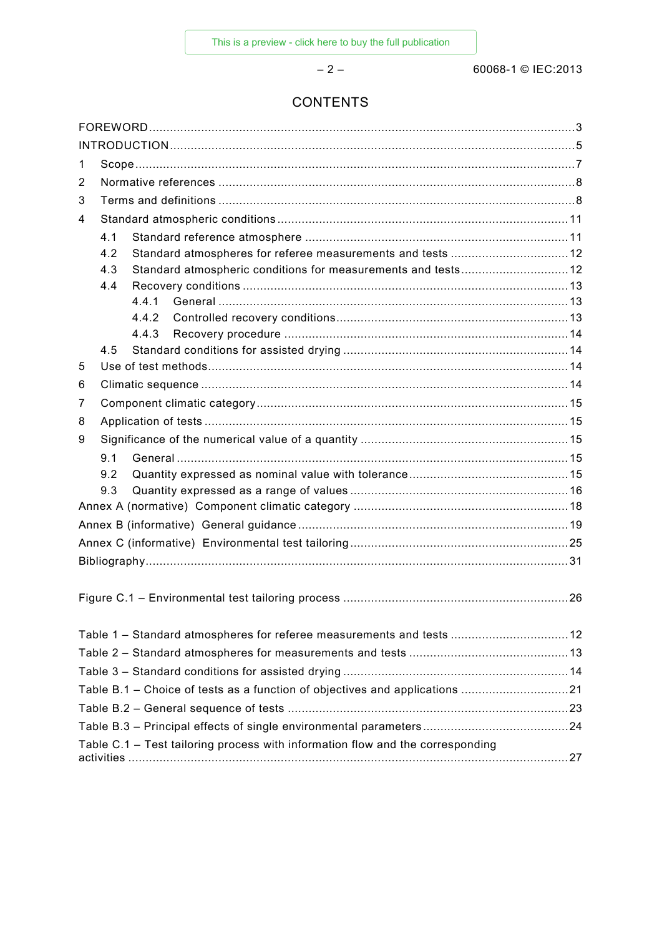# **CONTENTS**

| 1   |                                                                                |       |  |  |  |  |  |  |
|-----|--------------------------------------------------------------------------------|-------|--|--|--|--|--|--|
| 2   |                                                                                |       |  |  |  |  |  |  |
| 3   |                                                                                |       |  |  |  |  |  |  |
| 4   |                                                                                |       |  |  |  |  |  |  |
| 4.1 |                                                                                |       |  |  |  |  |  |  |
|     | 4.2                                                                            |       |  |  |  |  |  |  |
|     | Standard atmospheric conditions for measurements and tests 12<br>4.3           |       |  |  |  |  |  |  |
|     | 4.4                                                                            |       |  |  |  |  |  |  |
|     |                                                                                | 4.4.1 |  |  |  |  |  |  |
|     |                                                                                | 4.4.2 |  |  |  |  |  |  |
|     |                                                                                | 4.4.3 |  |  |  |  |  |  |
|     | 4.5                                                                            |       |  |  |  |  |  |  |
| 5   |                                                                                |       |  |  |  |  |  |  |
| 6   |                                                                                |       |  |  |  |  |  |  |
| 7   |                                                                                |       |  |  |  |  |  |  |
| 8   |                                                                                |       |  |  |  |  |  |  |
| 9   |                                                                                |       |  |  |  |  |  |  |
|     | 9.1                                                                            |       |  |  |  |  |  |  |
|     | 9.2                                                                            |       |  |  |  |  |  |  |
|     | 9.3                                                                            |       |  |  |  |  |  |  |
|     |                                                                                |       |  |  |  |  |  |  |
|     |                                                                                |       |  |  |  |  |  |  |
|     |                                                                                |       |  |  |  |  |  |  |
|     |                                                                                |       |  |  |  |  |  |  |
|     |                                                                                |       |  |  |  |  |  |  |
|     |                                                                                |       |  |  |  |  |  |  |
|     |                                                                                |       |  |  |  |  |  |  |
|     |                                                                                |       |  |  |  |  |  |  |
|     |                                                                                |       |  |  |  |  |  |  |
|     | Table B.1 – Choice of tests as a function of objectives and applications 21    |       |  |  |  |  |  |  |
|     |                                                                                |       |  |  |  |  |  |  |
|     |                                                                                |       |  |  |  |  |  |  |
|     | Table C.1 - Test tailoring process with information flow and the corresponding |       |  |  |  |  |  |  |
|     |                                                                                |       |  |  |  |  |  |  |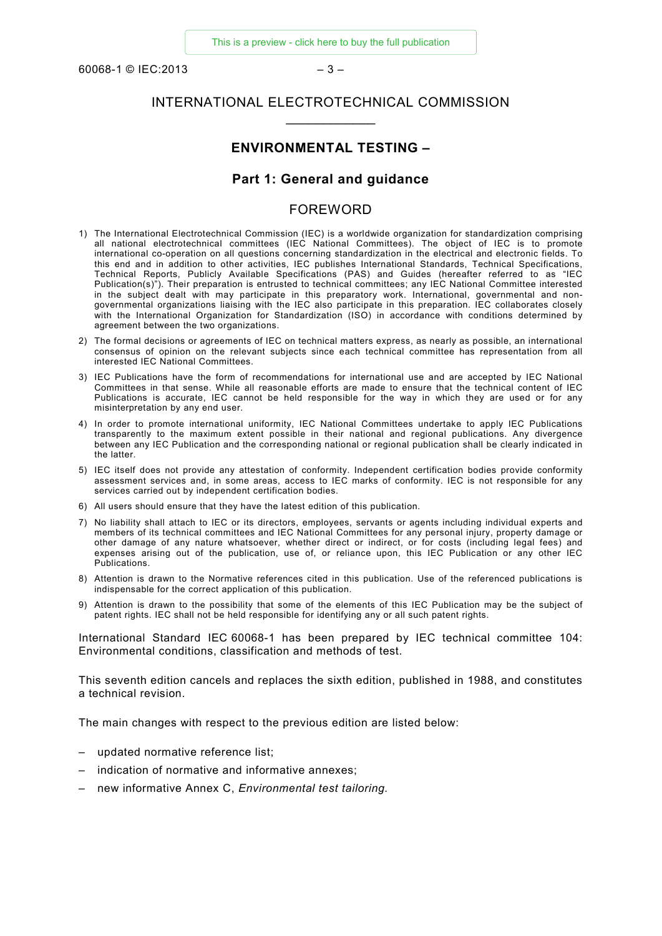60068-1 © IEC:2013 – 3 –

# INTERNATIONAL ELECTROTECHNICAL COMMISSION  $\overline{\phantom{a}}$

#### **ENVIRONMENTAL TESTING –**

# **Part 1: General and guidance**

# FOREWORD

- 1) The International Electrotechnical Commission (IEC) is a worldwide organization for standardization comprising all national electrotechnical committees (IEC National Committees). The object of IEC is to promote international co-operation on all questions concerning standardization in the electrical and electronic fields. To this end and in addition to other activities, IEC publishes International Standards, Technical Specifications, Technical Reports, Publicly Available Specifications (PAS) and Guides (hereafter referred to as "IEC Publication(s)"). Their preparation is entrusted to technical committees; any IEC National Committee interested in the subject dealt with may participate in this preparatory work. International, governmental and nongovernmental organizations liaising with the IEC also participate in this preparation. IEC collaborates closely with the International Organization for Standardization (ISO) in accordance with conditions determined by agreement between the two organizations.
- 2) The formal decisions or agreements of IEC on technical matters express, as nearly as possible, an international consensus of opinion on the relevant subjects since each technical committee has representation from all interested IEC National Committees.
- 3) IEC Publications have the form of recommendations for international use and are accepted by IEC National Committees in that sense. While all reasonable efforts are made to ensure that the technical content of IEC Publications is accurate, IEC cannot be held responsible for the way in which they are used or for any misinterpretation by any end user.
- 4) In order to promote international uniformity, IEC National Committees undertake to apply IEC Publications transparently to the maximum extent possible in their national and regional publications. Any divergence between any IEC Publication and the corresponding national or regional publication shall be clearly indicated in the latter.
- 5) IEC itself does not provide any attestation of conformity. Independent certification bodies provide conformity assessment services and, in some areas, access to IEC marks of conformity. IEC is not responsible for any services carried out by independent certification bodies.
- 6) All users should ensure that they have the latest edition of this publication.
- 7) No liability shall attach to IEC or its directors, employees, servants or agents including individual experts and members of its technical committees and IEC National Committees for any personal injury, property damage or other damage of any nature whatsoever, whether direct or indirect, or for costs (including legal fees) and expenses arising out of the publication, use of, or reliance upon, this IEC Publication or any other IEC Publications.
- 8) Attention is drawn to the Normative references cited in this publication. Use of the referenced publications is indispensable for the correct application of this publication.
- 9) Attention is drawn to the possibility that some of the elements of this IEC Publication may be the subject of patent rights. IEC shall not be held responsible for identifying any or all such patent rights.

International Standard IEC 60068-1 has been prepared by IEC technical committee 104: Environmental conditions, classification and methods of test.

This seventh edition cancels and replaces the sixth edition, published in 1988, and constitutes a technical revision.

The main changes with respect to the previous edition are listed below:

- updated normative reference list;
- indication of normative and informative annexes;
- new informative Annex C, *Environmental test tailoring.*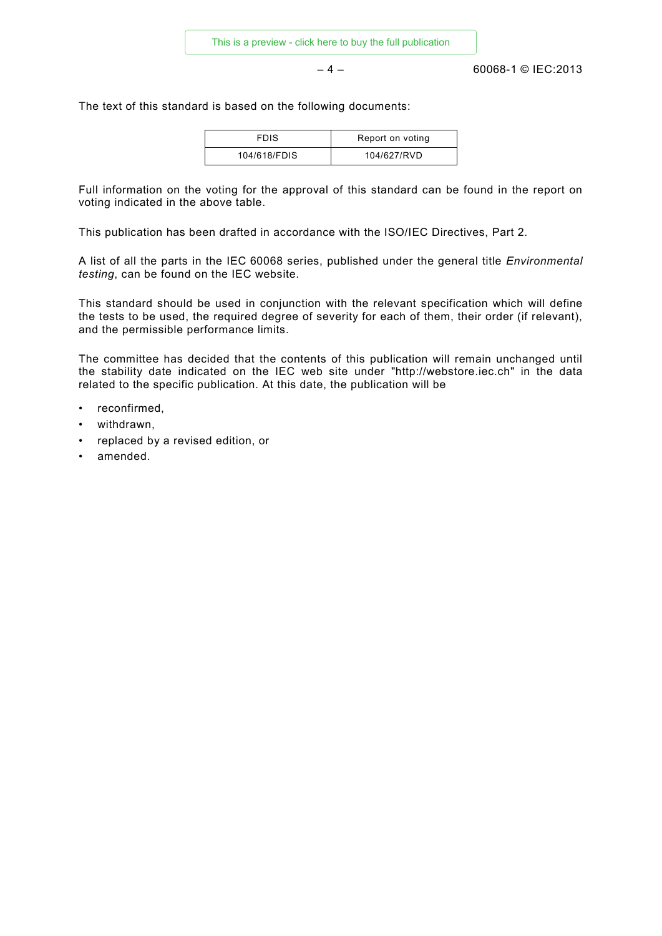$-4 - 60068 - 1 \circ \text{IEC:} 2013$ 

The text of this standard is based on the following documents:

| FDIS         | Report on voting |
|--------------|------------------|
| 104/618/FDIS | 104/627/RVD      |

Full information on the voting for the approval of this standard can be found in the report on voting indicated in the above table.

This publication has been drafted in accordance with the ISO/IEC Directives, Part 2.

A list of all the parts in the IEC 60068 series, published under the general title *Environmental testing*, can be found on the IEC website.

This standard should be used in conjunction with the relevant specification which will define the tests to be used, the required degree of severity for each of them, their order (if relevant), and the permissible performance limits.

The committee has decided that the contents of this publication will remain unchanged until the stability date indicated on the IEC web site under "http://webstore.iec.ch" in the data related to the specific publication. At this date, the publication will be

- reconfirmed,
- withdrawn,
- replaced by a revised edition, or
- amended.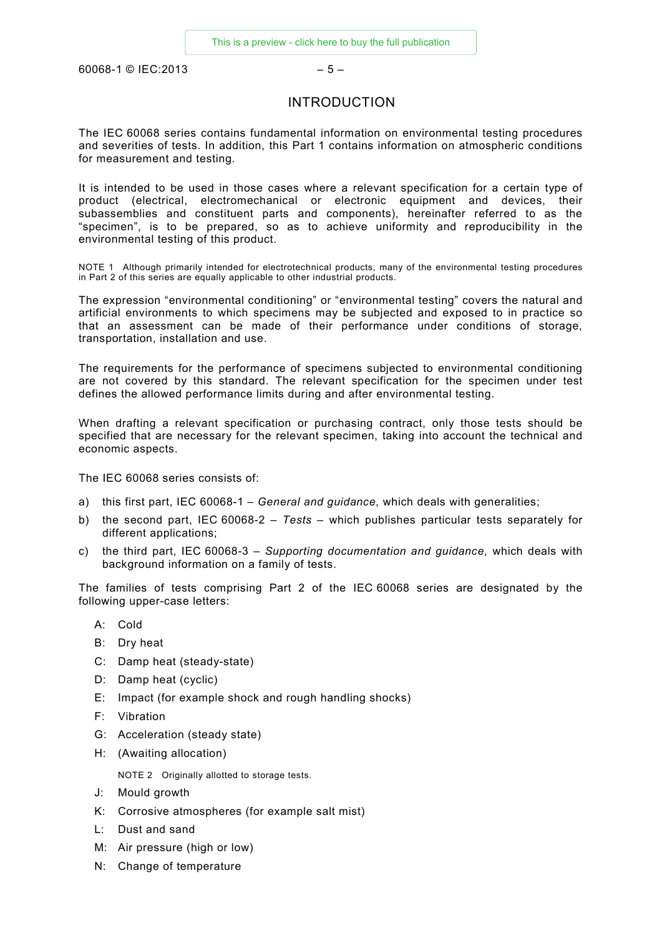$60068-1$  © IFC:2013 – 5 –

# INTRODUCTION

The IEC 60068 series contains fundamental information on environmental testing procedures and severities of tests. In addition, this Part 1 contains information on atmospheric conditions for measurement and testing.

It is intended to be used in those cases where a relevant specification for a certain type of product (electrical, electromechanical or electronic equipment and devices, their subassemblies and constituent parts and components), hereinafter referred to as the "specimen", is to be prepared, so as to achieve uniformity and reproducibility in the environmental testing of this product.

NOTE 1 Although primarily intended for electrotechnical products, many of the environmental testing procedures in Part 2 of this series are equally applicable to other industrial products.

The expression "environmental conditioning" or "environmental testing" covers the natural and artificial environments to which specimens may be subjected and exposed to in practice so that an assessment can be made of their performance under conditions of storage, transportation, installation and use.

The requirements for the performance of specimens subjected to environmental conditioning are not covered by this standard. The relevant specification for the specimen under test defines the allowed performance limits during and after environmental testing.

When drafting a relevant specification or purchasing contract, only those tests should be specified that are necessary for the relevant specimen, taking into account the technical and economic aspects.

The IEC 60068 series consists of:

- a) this first part, IEC 60068-1 *General and guidance*, which deals with generalities;
- b) the second part, IEC 60068-2 *Tests* which publishes particular tests separately for different applications;
- c) the third part, IEC 60068-3 *Supporting documentation and guidance*, which deals with background information on a family of tests.

The families of tests comprising Part 2 of the IEC 60068 series are designated by the following upper-case letters:

- A: Cold
- B: Dry heat
- C: Damp heat (steady-state)
- D: Damp heat (cyclic)
- E: Impact (for example shock and rough handling shocks)
- F: Vibration
- G: Acceleration (steady state)
- H: (Awaiting allocation)

NOTE 2 Originally allotted to storage tests.

- J: Mould growth
- K: Corrosive atmospheres (for example salt mist)
- L: Dust and sand
- M: Air pressure (high or low)
- N: Change of temperature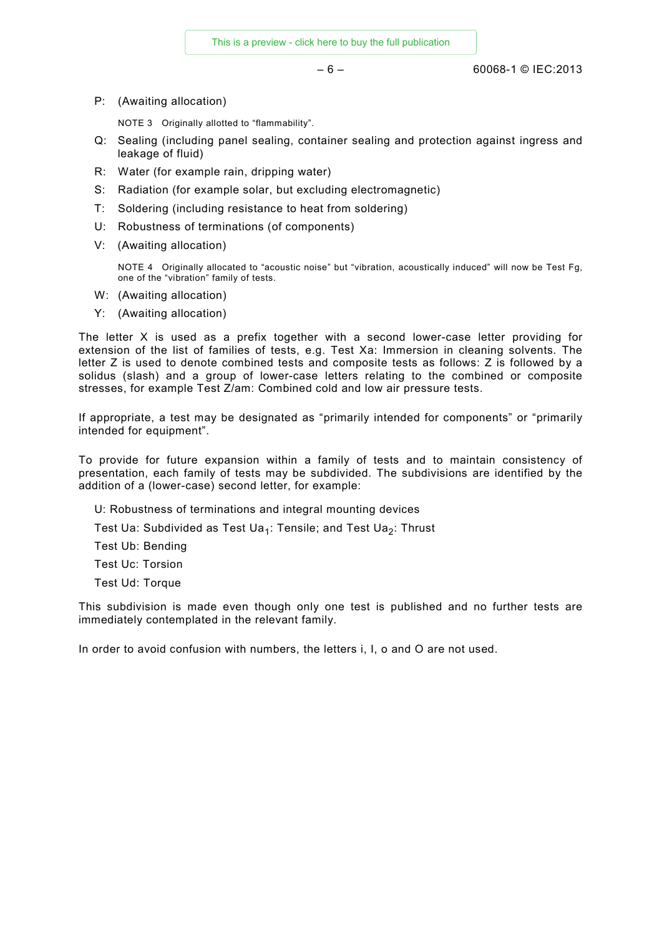$-6 -$  60068-1 © IEC:2013

P: (Awaiting allocation)

NOTE 3 Originally allotted to "flammability".

- Q: Sealing (including panel sealing, container sealing and protection against ingress and leakage of fluid)
- R: Water (for example rain, dripping water)
- S: Radiation (for example solar, but excluding electromagnetic)
- T: Soldering (including resistance to heat from soldering)
- U: Robustness of terminations (of components)
- V: (Awaiting allocation)

NOTE 4 Originally allocated to "acoustic noise" but "vibration, acoustically induced" will now be Test Fg, one of the "vibration" family of tests.

- W: (Awaiting allocation)
- Y: (Awaiting allocation)

The letter X is used as a prefix together with a second lower-case letter providing for extension of the list of families of tests, e.g. Test Xa: Immersion in cleaning solvents. The letter Z is used to denote combined tests and composite tests as follows: Z is followed by a solidus (slash) and a group of lower-case letters relating to the combined or composite stresses, for example Test Z/am: Combined cold and low air pressure tests.

If appropriate, a test may be designated as "primarily intended for components" or "primarily intended for equipment".

To provide for future expansion within a family of tests and to maintain consistency of presentation, each family of tests may be subdivided. The subdivisions are identified by the addition of a (lower-case) second letter, for example:

- U: Robustness of terminations and integral mounting devices
- Test Ua: Subdivided as Test Ua<sub>1</sub>: Tensile; and Test Ua<sub>2</sub>: Thrust
- Test Ub: Bending
- Test Uc: Torsion
- Test Ud: Torque

This subdivision is made even though only one test is published and no further tests are immediately contemplated in the relevant family.

In order to avoid confusion with numbers, the letters i, I, o and O are not used.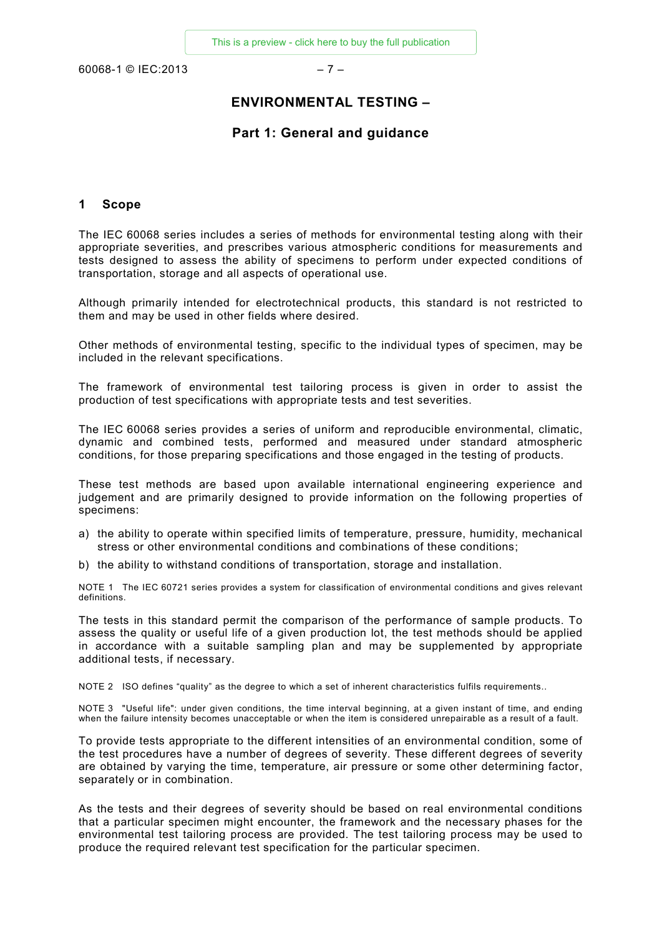60068-1 © IEC:2013 – 7 –

# **ENVIRONMENTAL TESTING –**

# **Part 1: General and guidance**

#### **1 Scope**

The IEC 60068 series includes a series of methods for environmental testing along with their appropriate severities, and prescribes various atmospheric conditions for measurements and tests designed to assess the ability of specimens to perform under expected conditions of transportation, storage and all aspects of operational use.

Although primarily intended for electrotechnical products, this standard is not restricted to them and may be used in other fields where desired.

Other methods of environmental testing, specific to the individual types of specimen, may be included in the relevant specifications.

The framework of environmental test tailoring process is given in order to assist the production of test specifications with appropriate tests and test severities.

The IEC 60068 series provides a series of uniform and reproducible environmental, climatic, dynamic and combined tests, performed and measured under standard atmospheric conditions, for those preparing specifications and those engaged in the testing of products.

These test methods are based upon available international engineering experience and judgement and are primarily designed to provide information on the following properties of specimens:

- a) the ability to operate within specified limits of temperature, pressure, humidity, mechanical stress or other environmental conditions and combinations of these conditions;
- b) the ability to withstand conditions of transportation, storage and installation.

NOTE 1 The IEC 60721 series provides a system for classification of environmental conditions and gives relevant definitions.

The tests in this standard permit the comparison of the performance of sample products. To assess the quality or useful life of a given production lot, the test methods should be applied in accordance with a suitable sampling plan and may be supplemented by appropriate additional tests, if necessary.

NOTE 2 ISO defines "quality" as the degree to which a set of inherent characteristics fulfils requirements..

NOTE 3 "Useful life": under given conditions, the time interval beginning, at a given instant of time, and ending when the failure intensity becomes unacceptable or when the item is considered unrepairable as a result of a fault.

To provide tests appropriate to the different intensities of an environmental condition, some of the test procedures have a number of degrees of severity. These different degrees of severity are obtained by varying the time, temperature, air pressure or some other determining factor, separately or in combination.

As the tests and their degrees of severity should be based on real environmental conditions that a particular specimen might encounter, the framework and the necessary phases for the environmental test tailoring process are provided. The test tailoring process may be used to produce the required relevant test specification for the particular specimen.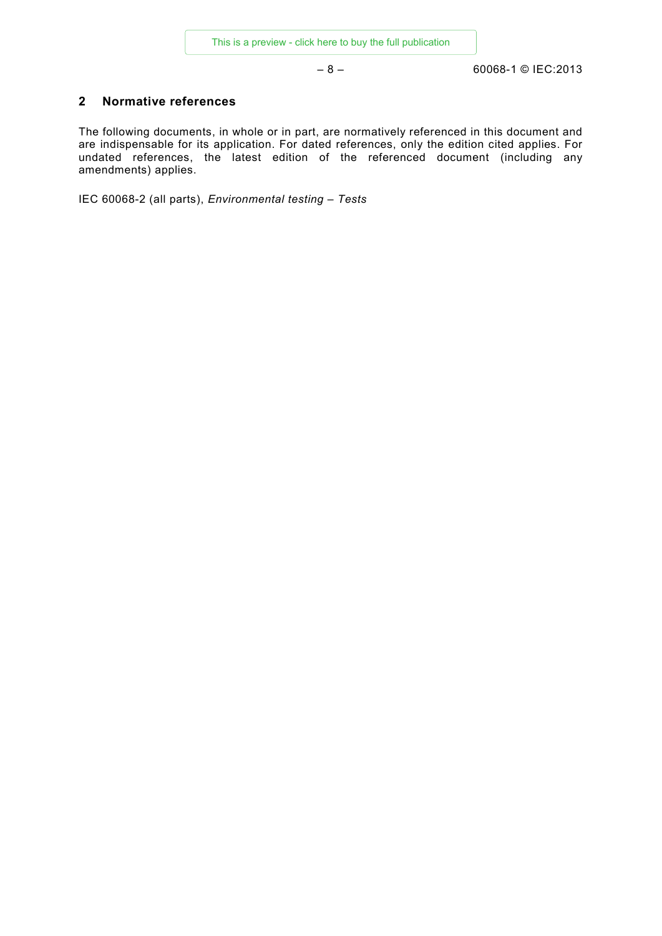# **2 Normative references**

The following documents, in whole or in part, are normatively referenced in this document and are indispensable for its application. For dated references, only the edition cited applies. For undated references, the latest edition of the referenced document (including any amendments) applies.

IEC 60068-2 (all parts), *Environmental testing – Tests*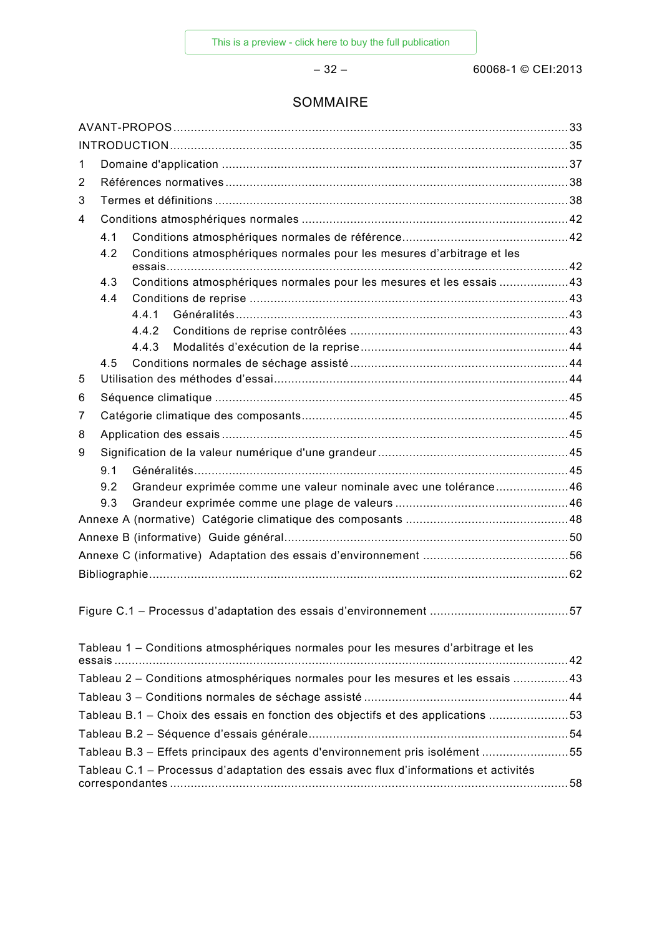# SOMMAIRE

| 1              |                                                                               |                                                                                       |  |  |  |  |
|----------------|-------------------------------------------------------------------------------|---------------------------------------------------------------------------------------|--|--|--|--|
| $\overline{2}$ |                                                                               |                                                                                       |  |  |  |  |
| 3              |                                                                               |                                                                                       |  |  |  |  |
| 4              |                                                                               |                                                                                       |  |  |  |  |
|                | 4.1                                                                           |                                                                                       |  |  |  |  |
|                | Conditions atmosphériques normales pour les mesures d'arbitrage et les<br>4.2 |                                                                                       |  |  |  |  |
|                | 4.3                                                                           | Conditions atmosphériques normales pour les mesures et les essais 43                  |  |  |  |  |
|                | 4.4                                                                           |                                                                                       |  |  |  |  |
|                |                                                                               | 4.4.1                                                                                 |  |  |  |  |
|                |                                                                               | 4.4.2                                                                                 |  |  |  |  |
|                |                                                                               | 4.4.3                                                                                 |  |  |  |  |
|                | 4.5                                                                           |                                                                                       |  |  |  |  |
| 5              |                                                                               |                                                                                       |  |  |  |  |
| 6              |                                                                               |                                                                                       |  |  |  |  |
| 7              |                                                                               |                                                                                       |  |  |  |  |
| 8              |                                                                               |                                                                                       |  |  |  |  |
| 9              |                                                                               |                                                                                       |  |  |  |  |
|                | 9.1                                                                           |                                                                                       |  |  |  |  |
|                | 9.2                                                                           | Grandeur exprimée comme une valeur nominale avec une tolérance46                      |  |  |  |  |
|                | 9.3                                                                           |                                                                                       |  |  |  |  |
|                |                                                                               |                                                                                       |  |  |  |  |
|                |                                                                               |                                                                                       |  |  |  |  |
|                |                                                                               |                                                                                       |  |  |  |  |
|                |                                                                               |                                                                                       |  |  |  |  |
|                |                                                                               |                                                                                       |  |  |  |  |
|                |                                                                               | Tableau 1 – Conditions atmosphériques normales pour les mesures d'arbitrage et les    |  |  |  |  |
|                |                                                                               | Tableau 2 - Conditions atmosphériques normales pour les mesures et les essais 43      |  |  |  |  |
|                |                                                                               |                                                                                       |  |  |  |  |
|                |                                                                               | Tableau B.1 – Choix des essais en fonction des objectifs et des applications 53       |  |  |  |  |
|                |                                                                               |                                                                                       |  |  |  |  |
|                |                                                                               | Tableau B.3 - Effets principaux des agents d'environnement pris isolément 55          |  |  |  |  |
|                |                                                                               | Tableau C.1 - Processus d'adaptation des essais avec flux d'informations et activités |  |  |  |  |
|                |                                                                               |                                                                                       |  |  |  |  |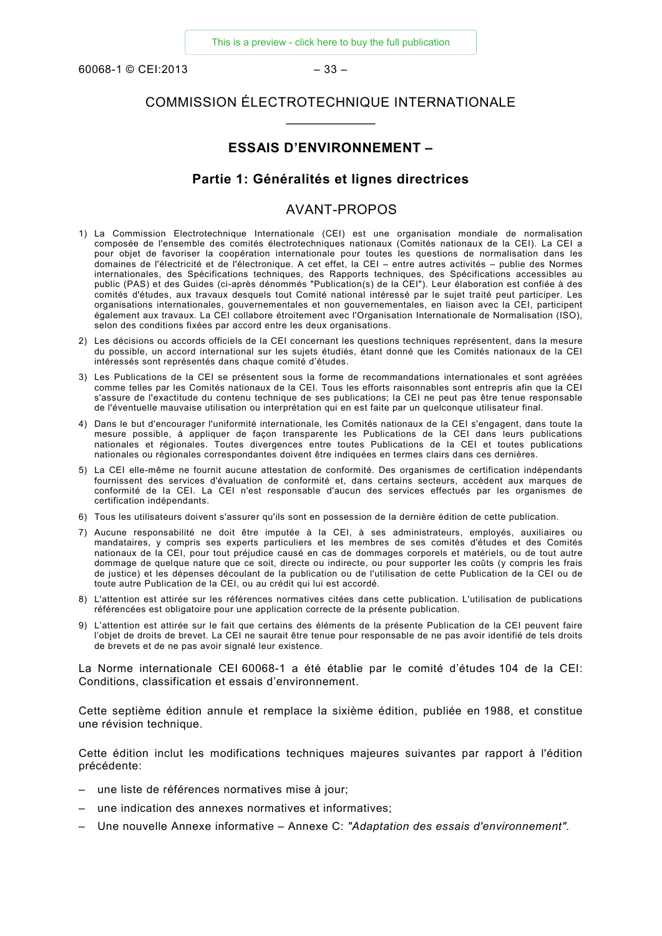60068-1 © CEI:2013 – 33 –

# COMMISSION ÉLECTROTECHNIQUE INTERNATIONALE  $\overline{\phantom{a}}$

#### **ESSAIS D'ENVIRONNEMENT –**

# **Partie 1: Généralités et lignes directrices**

# AVANT-PROPOS

- 1) La Commission Electrotechnique Internationale (CEI) est une organisation mondiale de normalisation composée de l'ensemble des comités électrotechniques nationaux (Comités nationaux de la CEI). La CEI a pour objet de favoriser la coopération internationale pour toutes les questions de normalisation dans les domaines de l'électricité et de l'électronique. A cet effet, la CEI – entre autres activités – publie des Normes internationales, des Spécifications techniques, des Rapports techniques, des Spécifications accessibles au public (PAS) et des Guides (ci-après dénommés "Publication(s) de la CEI"). Leur élaboration est confiée à des comités d'études, aux travaux desquels tout Comité national intéressé par le sujet traité peut participer. Les organisations internationales, gouvernementales et non gouvernementales, en liaison avec la CEI, participent également aux travaux. La CEI collabore étroitement avec l'Organisation Internationale de Normalisation (ISO), selon des conditions fixées par accord entre les deux organisations.
- 2) Les décisions ou accords officiels de la CEI concernant les questions techniques représentent, dans la mesure du possible, un accord international sur les sujets étudiés, étant donné que les Comités nationaux de la CEI intéressés sont représentés dans chaque comité d'études.
- 3) Les Publications de la CEI se présentent sous la forme de recommandations internationales et sont agréées comme telles par les Comités nationaux de la CEI. Tous les efforts raisonnables sont entrepris afin que la CEI s'assure de l'exactitude du contenu technique de ses publications; la CEI ne peut pas être tenue responsable de l'éventuelle mauvaise utilisation ou interprétation qui en est faite par un quelconque utilisateur final.
- 4) Dans le but d'encourager l'uniformité internationale, les Comités nationaux de la CEI s'engagent, dans toute la mesure possible, à appliquer de façon transparente les Publications de la CEI dans leurs publications nationales et régionales. Toutes divergences entre toutes Publications de la CEI et toutes publications nationales ou régionales correspondantes doivent être indiquées en termes clairs dans ces dernières.
- 5) La CEI elle-même ne fournit aucune attestation de conformité. Des organismes de certification indépendants fournissent des services d'évaluation de conformité et, dans certains secteurs, accèdent aux marques de conformité de la CEI. La CEI n'est responsable d'aucun des services effectués par les organismes de certification indépendants.
- 6) Tous les utilisateurs doivent s'assurer qu'ils sont en possession de la dernière édition de cette publication.
- 7) Aucune responsabilité ne doit être imputée à la CEI, à ses administrateurs, employés, auxiliaires ou mandataires, y compris ses experts particuliers et les membres de ses comités d'études et des Comités nationaux de la CEI, pour tout préjudice causé en cas de dommages corporels et matériels, ou de tout autre dommage de quelque nature que ce soit, directe ou indirecte, ou pour supporter les coûts (y compris les frais de justice) et les dépenses découlant de la publication ou de l'utilisation de cette Publication de la CEI ou de toute autre Publication de la CEI, ou au crédit qui lui est accordé.
- 8) L'attention est attirée sur les références normatives citées dans cette publication. L'utilisation de publications référencées est obligatoire pour une application correcte de la présente publication.
- 9) L'attention est attirée sur le fait que certains des éléments de la présente Publication de la CEI peuvent faire l'objet de droits de brevet. La CEI ne saurait être tenue pour responsable de ne pas avoir identifié de tels droits de brevets et de ne pas avoir signalé leur existence.

La Norme internationale CEI 60068-1 a été établie par le comité d'études 104 de la CEI: Conditions, classification et essais d'environnement.

Cette septième édition annule et remplace la sixième édition, publiée en 1988, et constitue une révision technique.

Cette édition inclut les modifications techniques majeures suivantes par rapport à l'édition précédente:

- une liste de références normatives mise à jour;
- une indication des annexes normatives et informatives;
- Une nouvelle Annexe informative Annexe C: *"Adaptation des essais d'environnement".*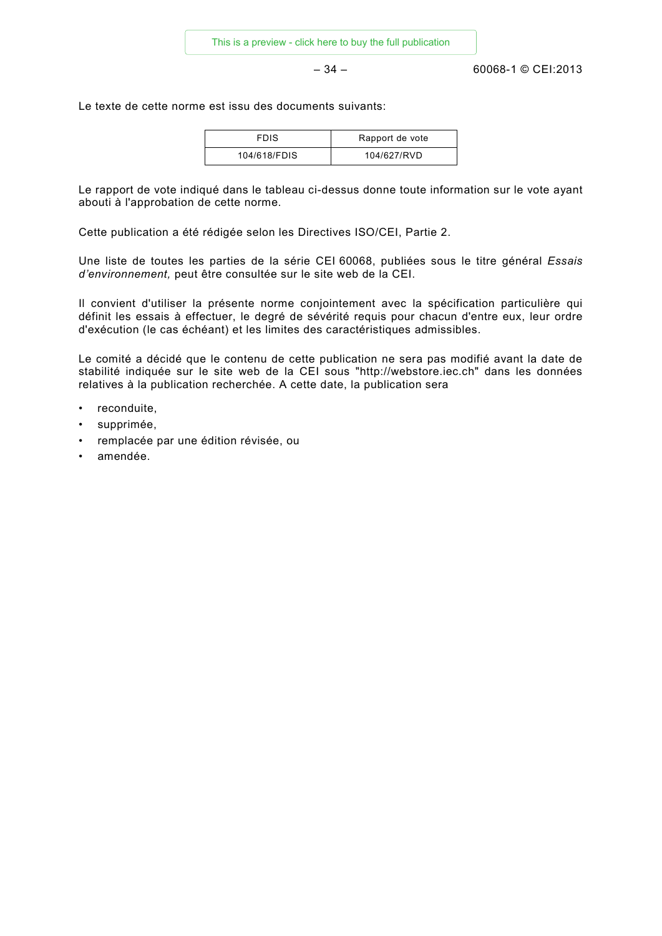$-34 - 60068 - 1 \circ \text{CE}$  : 2013

Le texte de cette norme est issu des documents suivants:

| <b>FDIS</b>  | Rapport de vote |
|--------------|-----------------|
| 104/618/FDIS | 104/627/RVD     |

Le rapport de vote indiqué dans le tableau ci-dessus donne toute information sur le vote ayant abouti à l'approbation de cette norme.

Cette publication a été rédigée selon les Directives ISO/CEI, Partie 2.

Une liste de toutes les parties de la série CEI 60068, publiées sous le titre général *Essais d'environnement,* peut être consultée sur le site web de la CEI.

Il convient d'utiliser la présente norme conjointement avec la spécification particulière qui définit les essais à effectuer, le degré de sévérité requis pour chacun d'entre eux, leur ordre d'exécution (le cas échéant) et les limites des caractéristiques admissibles.

Le comité a décidé que le contenu de cette publication ne sera pas modifié avant la date de stabilité indiquée sur le site web de la CEI sous "http://webstore.iec.ch" dans les données relatives à la publication recherchée. A cette date, la publication sera

- reconduite,
- supprimée,
- remplacée par une édition révisée, ou
- amendée.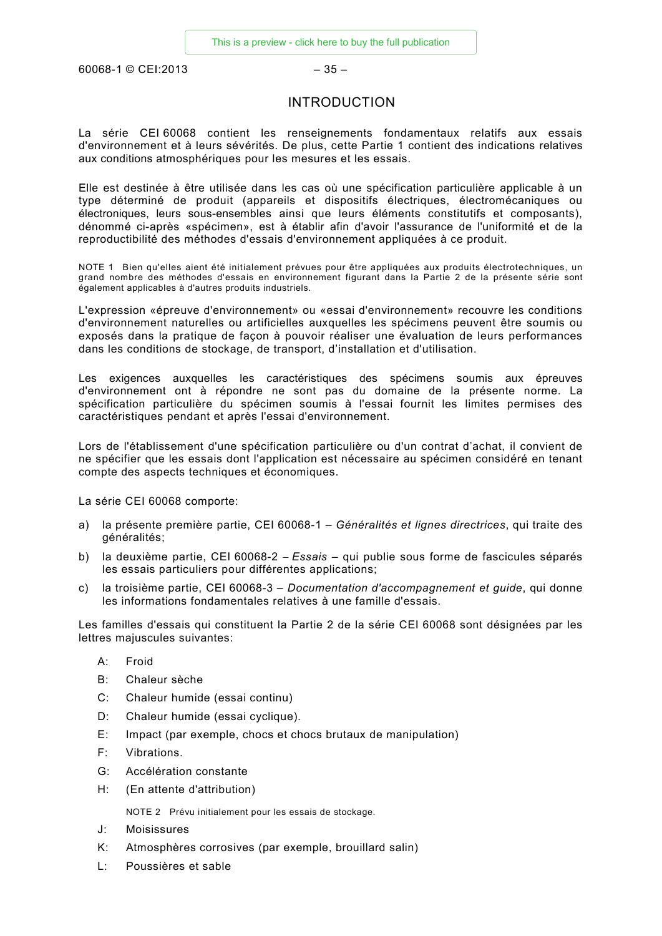$60068-1$  © CEI:2013 – 35

# INTRODUCTION

La série CEI 60068 contient les renseignements fondamentaux relatifs aux essais d'environnement et à leurs sévérités. De plus, cette Partie 1 contient des indications relatives aux conditions atmosphériques pour les mesures et les essais.

Elle est destinée à être utilisée dans les cas où une spécification particulière applicable à un type déterminé de produit (appareils et dispositifs électriques, électromécaniques ou électroniques, leurs sous-ensembles ainsi que leurs éléments constitutifs et composants), dénommé ci-après «spécimen», est à établir afin d'avoir l'assurance de l'uniformité et de la reproductibilité des méthodes d'essais d'environnement appliquées à ce produit.

NOTE 1 Bien qu'elles aient été initialement prévues pour être appliquées aux produits électrotechniques, un grand nombre des méthodes d'essais en environnement figurant dans la Partie 2 de la présente série sont également applicables à d'autres produits industriels.

L'expression «épreuve d'environnement» ou «essai d'environnement» recouvre les conditions d'environnement naturelles ou artificielles auxquelles les spécimens peuvent être soumis ou exposés dans la pratique de façon à pouvoir réaliser une évaluation de leurs performances dans les conditions de stockage, de transport, d'installation et d'utilisation.

Les exigences auxquelles les caractéristiques des spécimens soumis aux épreuves d'environnement ont à répondre ne sont pas du domaine de la présente norme. La spécification particulière du spécimen soumis à l'essai fournit les limites permises des caractéristiques pendant et après l'essai d'environnement.

Lors de l'établissement d'une spécification particulière ou d'un contrat d'achat, il convient de ne spécifier que les essais dont l'application est nécessaire au spécimen considéré en tenant compte des aspects techniques et économiques.

La série CEI 60068 comporte:

- a) la présente première partie, CEI 60068-1 *Généralités et lignes directrices*, qui traite des généralités;
- b) la deuxième partie, CEI 60068-2 <sup>−</sup> *Essais* qui publie sous forme de fascicules séparés les essais particuliers pour différentes applications;
- c) la troisième partie, CEI 60068-3 *Documentation d'accompagnement et guide*, qui donne les informations fondamentales relatives à une famille d'essais.

Les familles d'essais qui constituent la Partie 2 de la série CEI 60068 sont désignées par les lettres majuscules suivantes:

- A: Froid
- B: Chaleur sèche
- C: Chaleur humide (essai continu)
- D: Chaleur humide (essai cyclique).
- E: Impact (par exemple, chocs et chocs brutaux de manipulation)
- F: Vibrations.
- G: Accélération constante
- H: (En attente d'attribution)

NOTE 2 Prévu initialement pour les essais de stockage.

- J: Moisissures
- K: Atmosphères corrosives (par exemple, brouillard salin)
- L: Poussières et sable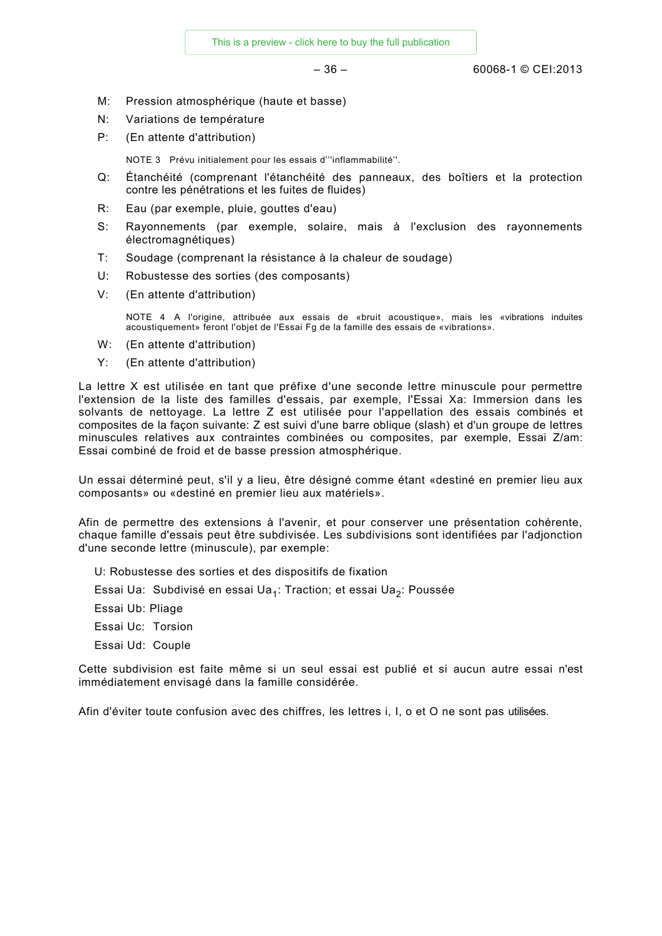$-36 - 60068-1$  © CEI:2013

- M: Pression atmosphérique (haute et basse)
- N: Variations de température
- P: (En attente d'attribution)

NOTE 3 Prévu initialement pour les essais d'''inflammabilité''.

- Q: Étanchéité (comprenant l'étanchéité des panneaux, des boîtiers et la protection contre les pénétrations et les fuites de fluides)
- R: Eau (par exemple, pluie, gouttes d'eau)
- S: Rayonnements (par exemple, solaire, mais à l'exclusion des rayonnements électromagnétiques)
- T: Soudage (comprenant la résistance à la chaleur de soudage)
- U: Robustesse des sorties (des composants)
- V: (En attente d'attribution)

NOTE 4 A l'origine, attribuée aux essais de «bruit acoustique», mais les «vibrations induites acoustiquement» feront l'objet de l'Essai Fg de la famille des essais de «vibrations».

- W: (En attente d'attribution)
- Y: (En attente d'attribution)

La lettre X est utilisée en tant que préfixe d'une seconde lettre minuscule pour permettre l'extension de la liste des familles d'essais, par exemple, l'Essai Xa: Immersion dans les solvants de nettoyage. La lettre Z est utilisée pour l'appellation des essais combinés et composites de la façon suivante: Z est suivi d'une barre oblique (slash) et d'un groupe de lettres minuscules relatives aux contraintes combinées ou composites, par exemple, Essai Z/am: Essai combiné de froid et de basse pression atmosphérique.

Un essai déterminé peut, s'il y a lieu, être désigné comme étant «destiné en premier lieu aux composants» ou «destiné en premier lieu aux matériels».

Afin de permettre des extensions à l'avenir, et pour conserver une présentation cohérente, chaque famille d'essais peut être subdivisée. Les subdivisions sont identifiées par l'adjonction d'une seconde lettre (minuscule), par exemple:

U: Robustesse des sorties et des dispositifs de fixation

Essai Ua: Subdivisé en essai Ua<sub>1</sub>: Traction; et essai Ua<sub>2</sub>: Poussée

Essai Ub: Pliage

- Essai Uc: Torsion
- Essai Ud: Couple

Cette subdivision est faite même si un seul essai est publié et si aucun autre essai n'est immédiatement envisagé dans la famille considérée.

Afin d'éviter toute confusion avec des chiffres, les lettres i, I, o et O ne sont pas utilisées.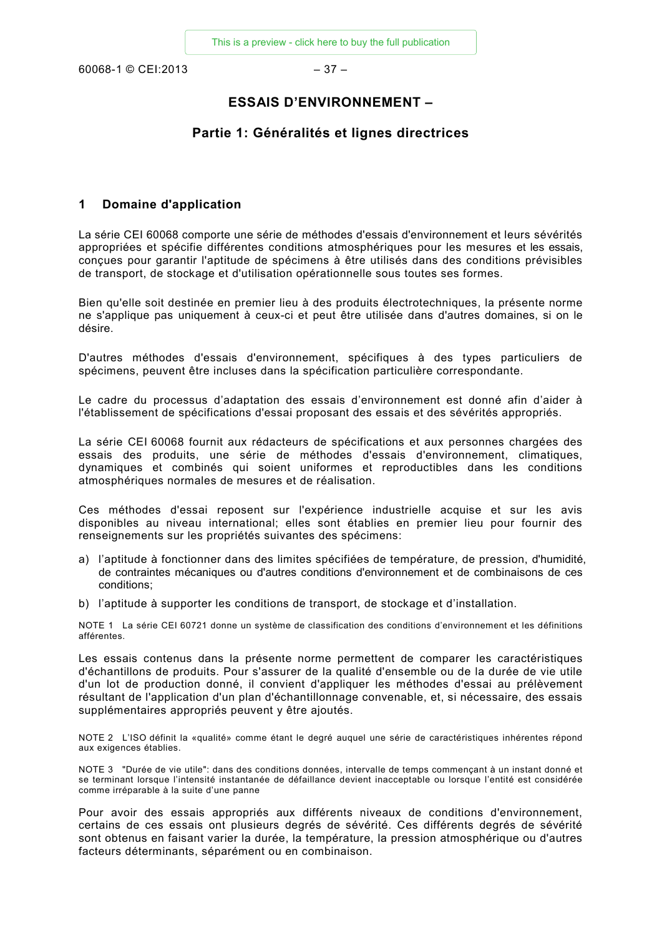60068-1 © CEI:2013 – 37 –

# **ESSAIS D'ENVIRONNEMENT –**

# **Partie 1: Généralités et lignes directrices**

#### **1 Domaine d'application**

La série CEI 60068 comporte une série de méthodes d'essais d'environnement et leurs sévérités appropriées et spécifie différentes conditions atmosphériques pour les mesures et les essais, conçues pour garantir l'aptitude de spécimens à être utilisés dans des conditions prévisibles de transport, de stockage et d'utilisation opérationnelle sous toutes ses formes.

Bien qu'elle soit destinée en premier lieu à des produits électrotechniques, la présente norme ne s'applique pas uniquement à ceux-ci et peut être utilisée dans d'autres domaines, si on le désire.

D'autres méthodes d'essais d'environnement, spécifiques à des types particuliers de spécimens, peuvent être incluses dans la spécification particulière correspondante.

Le cadre du processus d'adaptation des essais d'environnement est donné afin d'aider à l'établissement de spécifications d'essai proposant des essais et des sévérités appropriés.

La série CEI 60068 fournit aux rédacteurs de spécifications et aux personnes chargées des essais des produits, une série de méthodes d'essais d'environnement, climatiques, dynamiques et combinés qui soient uniformes et reproductibles dans les conditions atmosphériques normales de mesures et de réalisation.

Ces méthodes d'essai reposent sur l'expérience industrielle acquise et sur les avis disponibles au niveau international; elles sont établies en premier lieu pour fournir des renseignements sur les propriétés suivantes des spécimens:

- a) l'aptitude à fonctionner dans des limites spécifiées de température, de pression, d'humidité, de contraintes mécaniques ou d'autres conditions d'environnement et de combinaisons de ces conditions;
- b) l'aptitude à supporter les conditions de transport, de stockage et d'installation.

NOTE 1 La série CEI 60721 donne un système de classification des conditions d'environnement et les définitions afférentes.

Les essais contenus dans la présente norme permettent de comparer les caractéristiques d'échantillons de produits. Pour s'assurer de la qualité d'ensemble ou de la durée de vie utile d'un lot de production donné, il convient d'appliquer les méthodes d'essai au prélèvement résultant de l'application d'un plan d'échantillonnage convenable, et, si nécessaire, des essais supplémentaires appropriés peuvent y être ajoutés.

NOTE 2 L'ISO définit la «qualité» comme étant le degré auquel une série de caractéristiques inhérentes répond aux exigences établies.

NOTE 3 "Durée de vie utile": dans des conditions données, intervalle de temps commençant à un instant donné et se terminant lorsque l'intensité instantanée de défaillance devient inacceptable ou lorsque l'entité est considérée comme irréparable à la suite d'une panne

Pour avoir des essais appropriés aux différents niveaux de conditions d'environnement, certains de ces essais ont plusieurs degrés de sévérité. Ces différents degrés de sévérité sont obtenus en faisant varier la durée, la température, la pression atmosphérique ou d'autres facteurs déterminants, séparément ou en combinaison.